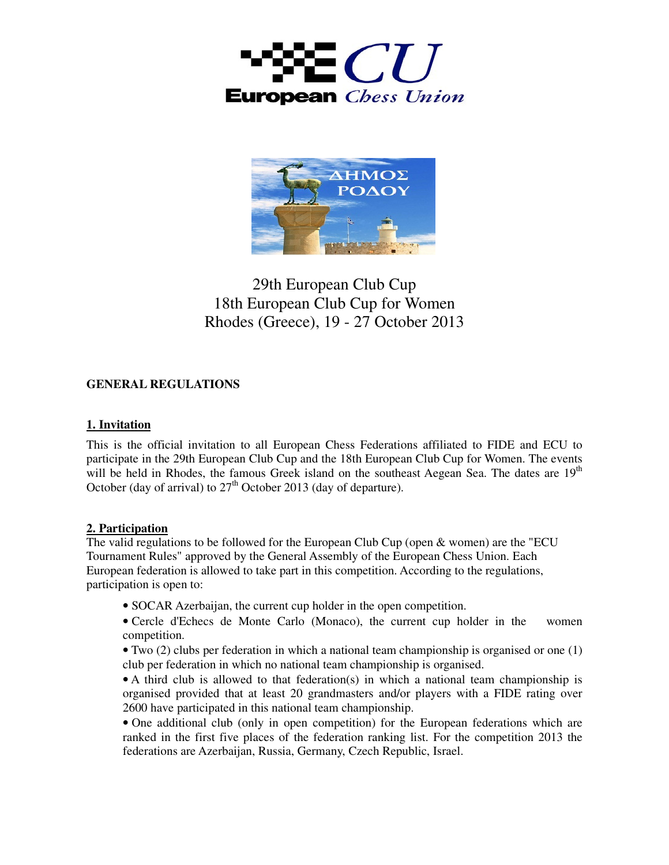



# 29th European Club Cup 18th European Club Cup for Women Rhodes (Greece), 19 - 27 October 2013

# **GENERAL REGULATIONS**

#### **1. Invitation**

This is the official invitation to all European Chess Federations affiliated to FIDE and ECU to participate in the 29th European Club Cup and the 18th European Club Cup for Women. The events will be held in Rhodes, the famous Greek island on the southeast Aegean Sea. The dates are  $19<sup>th</sup>$ October (day of arrival) to  $27<sup>th</sup>$  October 2013 (day of departure).

## **2. Participation**

The valid regulations to be followed for the European Club Cup (open & women) are the "ECU Tournament Rules" approved by the General Assembly of the European Chess Union. Each European federation is allowed to take part in this competition. According to the regulations, participation is open to:

- SOCAR Azerbaijan, the current cup holder in the open competition.
- Cercle d'Echecs de Monte Carlo (Monaco), the current cup holder in the women competition.
- Two (2) clubs per federation in which a national team championship is organised or one (1) club per federation in which no national team championship is organised.
- A third club is allowed to that federation(s) in which a national team championship is organised provided that at least 20 grandmasters and/or players with a FIDE rating over 2600 have participated in this national team championship.
- One additional club (only in open competition) for the European federations which are ranked in the first five places of the federation ranking list. For the competition 2013 the federations are Azerbaijan, Russia, Germany, Czech Republic, Israel.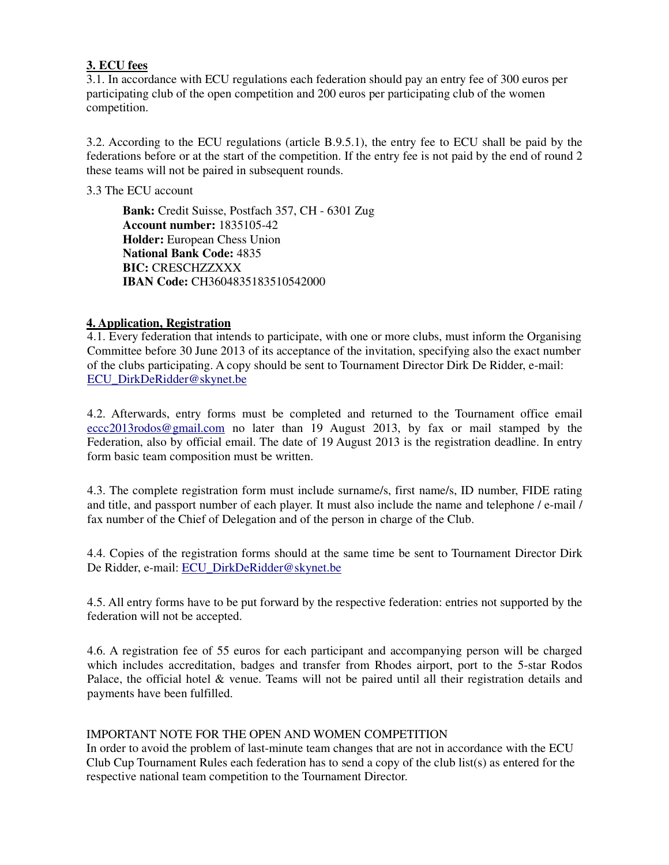#### **3. ECU fees**

3.1. In accordance with ECU regulations each federation should pay an entry fee of 300 euros per participating club of the open competition and 200 euros per participating club of the women competition.

3.2. According to the ECU regulations (article B.9.5.1), the entry fee to ECU shall be paid by the federations before or at the start of the competition. If the entry fee is not paid by the end of round 2 these teams will not be paired in subsequent rounds.

3.3 The ECU account

**Bank:** Credit Suisse, Postfach 357, CH - 6301 Zug **Account number:** 1835105-42 **Holder:** European Chess Union **National Bank Code:** 4835 **BIC:** CRESCHZZXXX **IBAN Code:** CH3604835183510542000

## **4. Application, Registration**

4.1. Every federation that intends to participate, with one or more clubs, must inform the Organising Committee before 30 June 2013 of its acceptance of the invitation, specifying also the exact number of the clubs participating. A copy should be sent to Tournament Director Dirk De Ridder, e-mail: ECU\_DirkDeRidder@skynet.be

4.2. Afterwards, entry forms must be completed and returned to the Tournament office email eccc2013rodos@gmail.com no later than 19 August 2013, by fax or mail stamped by the Federation, also by official email. The date of 19 August 2013 is the registration deadline. In entry form basic team composition must be written.

4.3. The complete registration form must include surname/s, first name/s, ID number, FIDE rating and title, and passport number of each player. It must also include the name and telephone / e-mail / fax number of the Chief of Delegation and of the person in charge of the Club.

4.4. Copies of the registration forms should at the same time be sent to Tournament Director Dirk De Ridder, e-mail: ECU\_DirkDeRidder@skynet.be

4.5. All entry forms have to be put forward by the respective federation: entries not supported by the federation will not be accepted.

4.6. A registration fee of 55 euros for each participant and accompanying person will be charged which includes accreditation, badges and transfer from Rhodes airport, port to the 5-star Rodos Palace, the official hotel & venue. Teams will not be paired until all their registration details and payments have been fulfilled.

#### IMPORTANT NOTE FOR THE OPEN AND WOMEN COMPETITION

In order to avoid the problem of last-minute team changes that are not in accordance with the ECU Club Cup Tournament Rules each federation has to send a copy of the club list(s) as entered for the respective national team competition to the Tournament Director.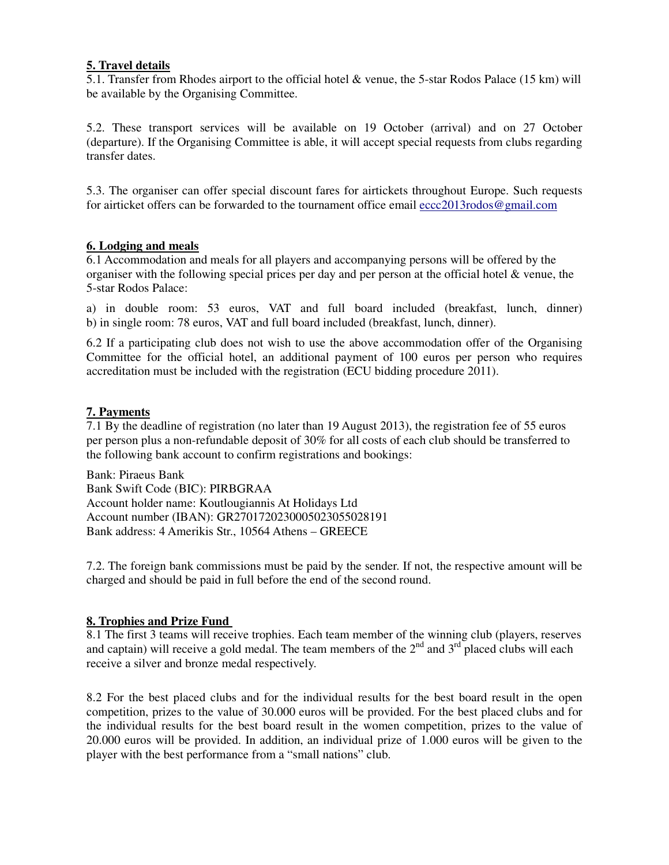## **5. Travel details**

5.1. Transfer from Rhodes airport to the official hotel & venue, the 5-star Rodos Palace (15 km) will be available by the Organising Committee.

5.2. These transport services will be available on 19 October (arrival) and on 27 October (departure). If the Organising Committee is able, it will accept special requests from clubs regarding transfer dates.

5.3. The organiser can offer special discount fares for airtickets throughout Europe. Such requests for airticket offers can be forwarded to the tournament office email eccc2013rodos@gmail.com

#### **6. Lodging and meals**

6.1 Accommodation and meals for all players and accompanying persons will be offered by the organiser with the following special prices per day and per person at the official hotel & venue, the 5-star Rodos Palace:

a) in double room: 53 euros, VAT and full board included (breakfast, lunch, dinner) b) in single room: 78 euros, VAT and full board included (breakfast, lunch, dinner).

6.2 If a participating club does not wish to use the above accommodation offer of the Organising Committee for the official hotel, an additional payment of 100 euros per person who requires accreditation must be included with the registration (ECU bidding procedure 2011).

#### **7. Payments**

7.1 By the deadline of registration (no later than 19 August 2013), the registration fee of 55 euros per person plus a non-refundable deposit of 30% for all costs of each club should be transferred to the following bank account to confirm registrations and bookings:

Bank: Piraeus Bank Bank Swift Code (BIC): PIRBGRAA Account holder name: Koutlougiannis At Holidays Ltd Account number (IBAN): GR2701720230005023055028191 Bank address: 4 Amerikis Str., 10564 Athens – GREECE

7.2. The foreign bank commissions must be paid by the sender. If not, the respective amount will be charged and should be paid in full before the end of the second round.

#### **8. Trophies and Prize Fund**

8.1 The first 3 teams will receive trophies. Each team member of the winning club (players, reserves and captain) will receive a gold medal. The team members of the  $2<sup>nd</sup>$  and  $3<sup>rd</sup>$  placed clubs will each receive a silver and bronze medal respectively.

8.2 For the best placed clubs and for the individual results for the best board result in the open competition, prizes to the value of 30.000 euros will be provided. For the best placed clubs and for the individual results for the best board result in the women competition, prizes to the value of 20.000 euros will be provided. In addition, an individual prize of 1.000 euros will be given to the player with the best performance from a "small nations" club.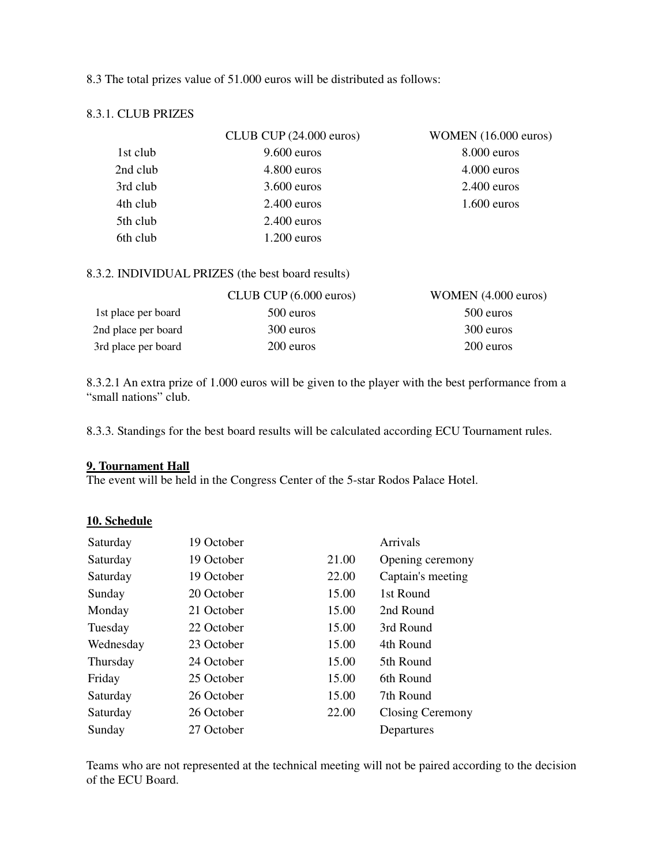#### 8.3 The total prizes value of 51.000 euros will be distributed as follows:

#### 8.3.1. CLUB PRIZES

|          | CLUB CUP $(24.000 \text{ euros})$ | WOMEN $(16.000 \text{ euros})$ |
|----------|-----------------------------------|--------------------------------|
| 1st club | $9.600$ euros                     | $8.000$ euros                  |
| 2nd club | $4.800$ euros                     | $4.000$ euros                  |
| 3rd club | $3.600$ euros                     | $2.400$ euros                  |
| 4th club | $2.400$ euros                     | $1.600$ euros                  |
| 5th club | $2.400$ euros                     |                                |
| 6th club | $1.200$ euros                     |                                |

#### 8.3.2. INDIVIDUAL PRIZES (the best board results)

|                     | CLUB CUP $(6.000 \text{ euros})$ | WOMEN (4.000 euros) |
|---------------------|----------------------------------|---------------------|
| 1st place per board | 500 euros                        | 500 euros           |
| 2nd place per board | 300 euros                        | 300 euros           |
| 3rd place per board | 200 euros                        | 200 euros           |

8.3.2.1 An extra prize of 1.000 euros will be given to the player with the best performance from a "small nations" club.

8.3.3. Standings for the best board results will be calculated according ECU Tournament rules.

#### **9. Tournament Hall**

The event will be held in the Congress Center of the 5-star Rodos Palace Hotel.

#### **10. Schedule**

| Saturday  | 19 October |       | Arrivals          |
|-----------|------------|-------|-------------------|
| Saturday  | 19 October | 21.00 | Opening ceremony  |
| Saturday  | 19 October | 22.00 | Captain's meeting |
| Sunday    | 20 October | 15.00 | 1st Round         |
| Monday    | 21 October | 15.00 | 2nd Round         |
| Tuesday   | 22 October | 15.00 | 3rd Round         |
| Wednesday | 23 October | 15.00 | 4th Round         |
| Thursday  | 24 October | 15.00 | 5th Round         |
| Friday    | 25 October | 15.00 | 6th Round         |
| Saturday  | 26 October | 15.00 | 7th Round         |
| Saturday  | 26 October | 22.00 | Closing Ceremony  |
| Sunday    | 27 October |       | Departures        |

Teams who are not represented at the technical meeting will not be paired according to the decision of the ECU Board.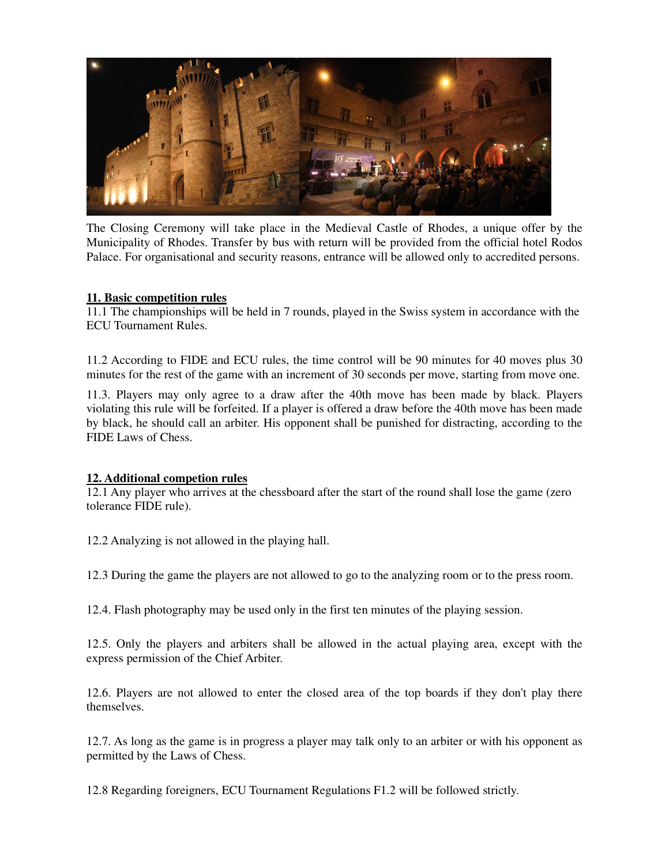

The Closing Ceremony will take place in the Medieval Castle of Rhodes, a unique offer by the Municipality of Rhodes. Transfer by bus with return will be provided from the official hotel Rodos Palace. For organisational and security reasons, entrance will be allowed only to accredited persons.

#### **11. Basic competition rules**

11.1 The championships will be held in 7 rounds, played in the Swiss system in accordance with the ECU Tournament Rules.

11.2 According to FIDE and ECU rules, the time control will be 90 minutes for 40 moves plus 30 minutes for the rest of the game with an increment of 30 seconds per move, starting from move one.

11.3. Players may only agree to a draw after the 40th move has been made by black. Players violating this rule will be forfeited. If a player is offered a draw before the 40th move has been made by black, he should call an arbiter. His opponent shall be punished for distracting, according to the FIDE Laws of Chess.

#### **12. Additional competion rules**

12.1 Any player who arrives at the chessboard after the start of the round shall lose the game (zero tolerance FIDE rule).

12.2 Analyzing is not allowed in the playing hall.

12.3 During the game the players are not allowed to go to the analyzing room or to the press room.

12.4. Flash photography may be used only in the first ten minutes of the playing session.

12.5. Only the players and arbiters shall be allowed in the actual playing area, except with the express permission of the Chief Arbiter.

12.6. Players are not allowed to enter the closed area of the top boards if they don't play there themselves.

12.7. As long as the game is in progress a player may talk only to an arbiter or with his opponent as permitted by the Laws of Chess.

12.8 Regarding foreigners, ECU Tournament Regulations F1.2 will be followed strictly.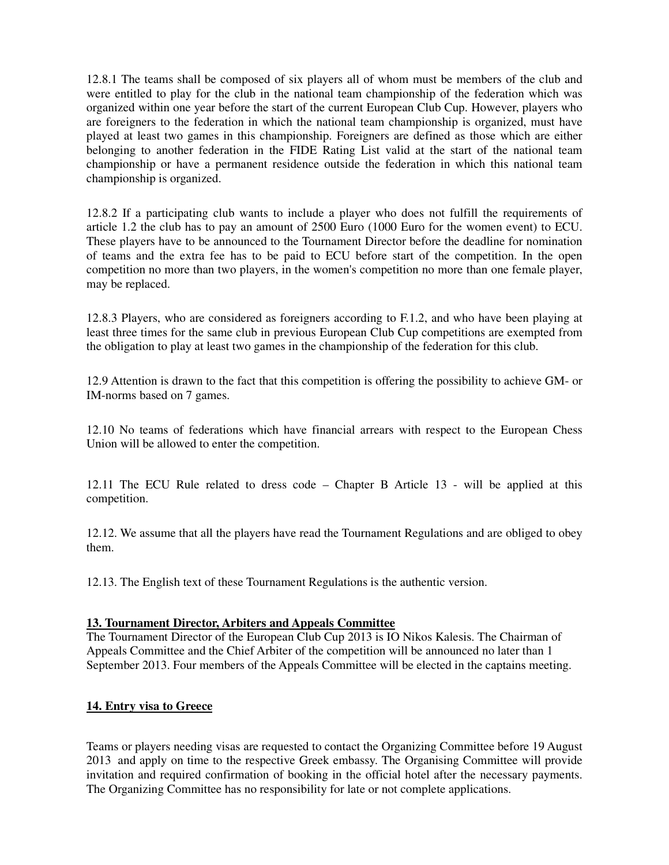12.8.1 The teams shall be composed of six players all of whom must be members of the club and were entitled to play for the club in the national team championship of the federation which was organized within one year before the start of the current European Club Cup. However, players who are foreigners to the federation in which the national team championship is organized, must have played at least two games in this championship. Foreigners are defined as those which are either belonging to another federation in the FIDE Rating List valid at the start of the national team championship or have a permanent residence outside the federation in which this national team championship is organized.

12.8.2 If a participating club wants to include a player who does not fulfill the requirements of article 1.2 the club has to pay an amount of 2500 Euro (1000 Euro for the women event) to ECU. These players have to be announced to the Tournament Director before the deadline for nomination of teams and the extra fee has to be paid to ECU before start of the competition. In the open competition no more than two players, in the women's competition no more than one female player, may be replaced.

12.8.3 Players, who are considered as foreigners according to F.1.2, and who have been playing at least three times for the same club in previous European Club Cup competitions are exempted from the obligation to play at least two games in the championship of the federation for this club.

12.9 Attention is drawn to the fact that this competition is offering the possibility to achieve GM- or IM-norms based on 7 games.

12.10 No teams of federations which have financial arrears with respect to the European Chess Union will be allowed to enter the competition.

12.11 The ECU Rule related to dress code – Chapter B Article 13 - will be applied at this competition.

12.12. We assume that all the players have read the Tournament Regulations and are obliged to obey them.

12.13. The English text of these Tournament Regulations is the authentic version.

#### **13. Tournament Director, Arbiters and Appeals Committee**

The Tournament Director of the European Club Cup 2013 is IO Nikos Kalesis. The Chairman of Appeals Committee and the Chief Arbiter of the competition will be announced no later than 1 September 2013. Four members of the Appeals Committee will be elected in the captains meeting.

## **14. Entry visa to Greece**

Teams or players needing visas are requested to contact the Organizing Committee before 19 August 2013 and apply on time to the respective Greek embassy. The Organising Committee will provide invitation and required confirmation of booking in the official hotel after the necessary payments. The Organizing Committee has no responsibility for late or not complete applications.